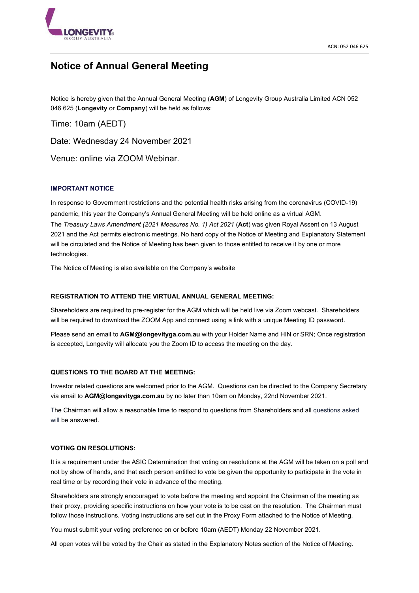

# **Notice of Annual General Meeting**

Notice is hereby given that the Annual General Meeting (**AGM**) of Longevity Group Australia Limited ACN 052 046 625 (**Longevity** or **Company**) will be held as follows:

Time: 10am (AEDT)

Date: Wednesday 24 November 2021

Venue: online via ZOOM Webinar.

# **IMPORTANT NOTICE**

In response to Government restrictions and the potential health risks arising from the coronavirus (COVID-19) pandemic, this year the Company's Annual General Meeting will be held online as a virtual AGM. The *Treasury Laws Amendment (2021 Measures No. 1) Act 2021* (**Act**) was given Royal Assent on 13 August 2021 and the Act permits electronic meetings. No hard copy of the Notice of Meeting and Explanatory Statement will be circulated and the Notice of Meeting has been given to those entitled to receive it by one or more technologies.

The Notice of Meeting is also available on the Company's website

# **REGISTRATION TO ATTEND THE VIRTUAL ANNUAL GENERAL MEETING:**

Shareholders are required to pre-register for the AGM which will be held live via Zoom webcast. Shareholders will be required to download the ZOOM App and connect using a link with a unique Meeting ID password.

Please send an email to **AGM@longevityga.com.au** with your Holder Name and HIN or SRN; Once registration is accepted, Longevity will allocate you the Zoom ID to access the meeting on the day.

# **QUESTIONS TO THE BOARD AT THE MEETING:**

Investor related questions are welcomed prior to the AGM. Questions can be directed to the Company Secretary via email to **AGM@longevityga.com.au** by no later than 10am on Monday, 22nd November 2021.

The Chairman will allow a reasonable time to respond to questions from Shareholders and all questions asked will be answered.

#### **VOTING ON RESOLUTIONS:**

It is a requirement under the ASIC Determination that voting on resolutions at the AGM will be taken on a poll and not by show of hands, and that each person entitled to vote be given the opportunity to participate in the vote in real time or by recording their vote in advance of the meeting.

Shareholders are strongly encouraged to vote before the meeting and appoint the Chairman of the meeting as their proxy, providing specific instructions on how your vote is to be cast on the resolution. The Chairman must follow those instructions. Voting instructions are set out in the Proxy Form attached to the Notice of Meeting.

You must submit your voting preference on or before 10am (AEDT) Monday 22 November 2021.

All open votes will be voted by the Chair as stated in the Explanatory Notes section of the Notice of Meeting.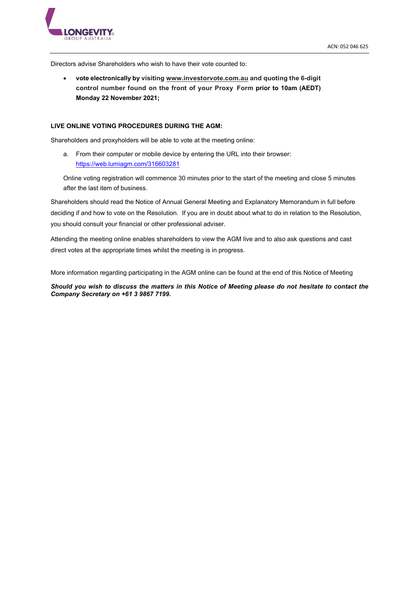

Directors advise Shareholders who wish to have their vote counted to:

• **vote electronically by visiting [www.investorvote.com.au](http://www.investorvote.com.au/) and quoting the 6-digit control number found on the front of your Proxy Form prior to 10am (AEDT) Monday 22 November 2021;** 

#### **LIVE ONLINE VOTING PROCEDURES DURING THE AGM:**

Shareholders and proxyholders will be able to vote at the meeting online:

a. From their computer or mobile device by entering the URL into their browser: <https://web.lumiagm.com/316603281>

Online voting registration will commence 30 minutes prior to the start of the meeting and close 5 minutes after the last item of business.

Shareholders should read the Notice of Annual General Meeting and Explanatory Memorandum in full before deciding if and how to vote on the Resolution. If you are in doubt about what to do in relation to the Resolution, you should consult your financial or other professional adviser.

Attending the meeting online enables shareholders to view the AGM live and to also ask questions and cast direct votes at the appropriate times whilst the meeting is in progress.

More information regarding participating in the AGM online can be found at the end of this Notice of Meeting

*Should you wish to discuss the matters in this Notice of Meeting please do not hesitate to contact the Company Secretary on +61 3 9867 7199.*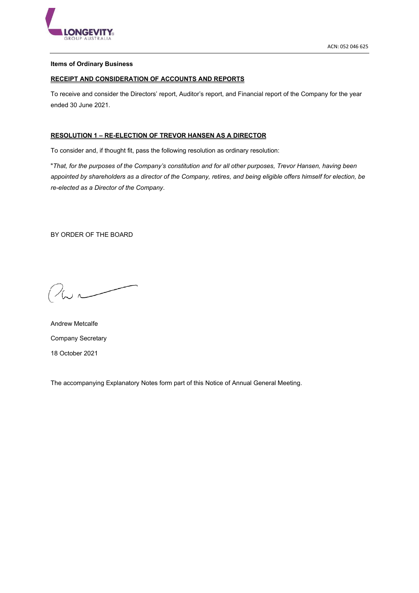

# **Items of Ordinary Business**

# **RECEIPT AND CONSIDERATION OF ACCOUNTS AND REPORTS**

To receive and consider the Directors' report, Auditor's report, and Financial report of the Company for the year ended 30 June 2021.

# **RESOLUTION 1 – RE-ELECTION OF TREVOR HANSEN AS A DIRECTOR**

To consider and, if thought fit, pass the following resolution as ordinary resolution:

"*That, for the purposes of the Company's constitution and for all other purposes, Trevor Hansen, having been appointed by shareholders as a director of the Company, retires, and being eligible offers himself for election, be re-elected as a Director of the Company*.

BY ORDER OF THE BOARD

 $222$ 

Andrew Metcalfe Company Secretary 18 October 2021

The accompanying Explanatory Notes form part of this Notice of Annual General Meeting.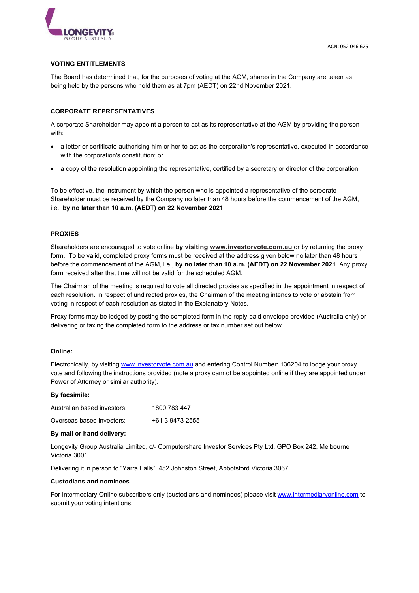

## **VOTING ENTITLEMENTS**

The Board has determined that, for the purposes of voting at the AGM, shares in the Company are taken as being held by the persons who hold them as at 7pm (AEDT) on 22nd November 2021.

## **CORPORATE REPRESENTATIVES**

A corporate Shareholder may appoint a person to act as its representative at the AGM by providing the person with:

- a letter or certificate authorising him or her to act as the corporation's representative, executed in accordance with the corporation's constitution; or
- a copy of the resolution appointing the representative, certified by a secretary or director of the corporation.

To be effective, the instrument by which the person who is appointed a representative of the corporate Shareholder must be received by the Company no later than 48 hours before the commencement of the AGM, i.e., **by no later than 10 a.m. (AEDT) on 22 November 2021**.

## **PROXIES**

Shareholders are encouraged to vote online **by visiting [www.investorvote.com.au](http://www.investorvote.com.au/)** or by returning the proxy form. To be valid, completed proxy forms must be received at the address given below no later than 48 hours before the commencement of the AGM, i.e., **by no later than 10 a.m. (AEDT) on 22 November 2021**. Any proxy form received after that time will not be valid for the scheduled AGM.

The Chairman of the meeting is required to vote all directed proxies as specified in the appointment in respect of each resolution. In respect of undirected proxies, the Chairman of the meeting intends to vote or abstain from voting in respect of each resolution as stated in the Explanatory Notes.

Proxy forms may be lodged by posting the completed form in the reply-paid envelope provided (Australia only) or delivering or faxing the completed form to the address or fax number set out below.

#### **Online:**

Electronically, by visiting [www.investorvote.com.au](http://www.investorvote.com.au/) and entering Control Number: 136204 to lodge your proxy vote and following the instructions provided (note a proxy cannot be appointed online if they are appointed under Power of Attorney or similar authority).

#### **By facsimile:**

Australian based investors: 1800 783 447 Overseas based investors: +61 3 9473 2555

# **By mail or hand delivery:**

Longevity Group Australia Limited, c/- Computershare Investor Services Pty Ltd, GPO Box 242, Melbourne Victoria 3001.

Delivering it in person to "Yarra Falls", 452 Johnston Street, Abbotsford Victoria 3067.

#### **Custodians and nominees**

For Intermediary Online subscribers only (custodians and nominees) please visit [www.intermediaryonline.com](http://www.intermediaryonline.com/) to submit your voting intentions.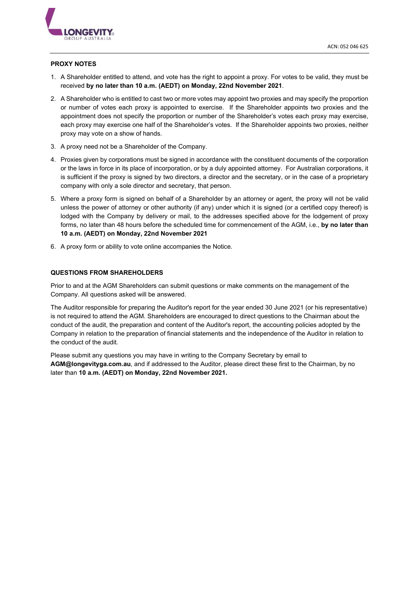

## **PROXY NOTES**

- 1. A Shareholder entitled to attend, and vote has the right to appoint a proxy. For votes to be valid, they must be received **by no later than 10 a.m. (AEDT) on Monday, 22nd November 2021**.
- 2. A Shareholder who is entitled to cast two or more votes may appoint two proxies and may specify the proportion or number of votes each proxy is appointed to exercise. If the Shareholder appoints two proxies and the appointment does not specify the proportion or number of the Shareholder's votes each proxy may exercise, each proxy may exercise one half of the Shareholder's votes. If the Shareholder appoints two proxies, neither proxy may vote on a show of hands.
- 3. A proxy need not be a Shareholder of the Company.
- 4. Proxies given by corporations must be signed in accordance with the constituent documents of the corporation or the laws in force in its place of incorporation, or by a duly appointed attorney. For Australian corporations, it is sufficient if the proxy is signed by two directors, a director and the secretary, or in the case of a proprietary company with only a sole director and secretary, that person.
- 5. Where a proxy form is signed on behalf of a Shareholder by an attorney or agent, the proxy will not be valid unless the power of attorney or other authority (if any) under which it is signed (or a certified copy thereof) is lodged with the Company by delivery or mail, to the addresses specified above for the lodgement of proxy forms, no later than 48 hours before the scheduled time for commencement of the AGM, i.e., **by no later than 10 a.m. (AEDT) on Monday, 22nd November 2021**
- 6. A proxy form or ability to vote online accompanies the Notice.

## **QUESTIONS FROM SHAREHOLDERS**

Prior to and at the AGM Shareholders can submit questions or make comments on the management of the Company. All questions asked will be answered.

The Auditor responsible for preparing the Auditor's report for the year ended 30 June 2021 (or his representative) is not required to attend the AGM. Shareholders are encouraged to direct questions to the Chairman about the conduct of the audit, the preparation and content of the Auditor's report, the accounting policies adopted by the Company in relation to the preparation of financial statements and the independence of the Auditor in relation to the conduct of the audit.

Please submit any questions you may have in writing to the Company Secretary by email to **AGM@longevityga.com.au**, and if addressed to the Auditor, please direct these first to the Chairman, by no later than **10 a.m. (AEDT) on Monday, 22nd November 2021.**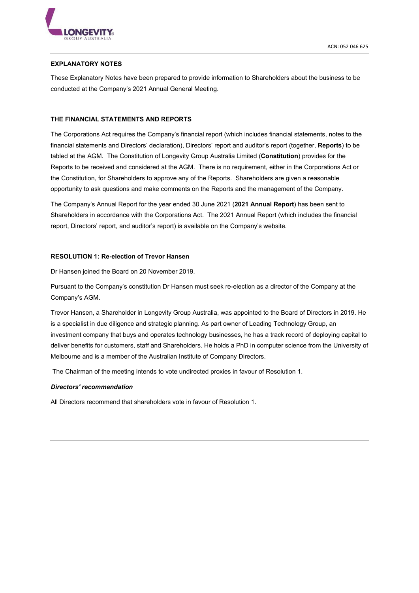

# **EXPLANATORY NOTES**

These Explanatory Notes have been prepared to provide information to Shareholders about the business to be conducted at the Company's 2021 Annual General Meeting.

## **THE FINANCIAL STATEMENTS AND REPORTS**

The Corporations Act requires the Company's financial report (which includes financial statements, notes to the financial statements and Directors' declaration), Directors' report and auditor's report (together, **Reports**) to be tabled at the AGM. The Constitution of Longevity Group Australia Limited (**Constitution**) provides for the Reports to be received and considered at the AGM. There is no requirement, either in the Corporations Act or the Constitution, for Shareholders to approve any of the Reports. Shareholders are given a reasonable opportunity to ask questions and make comments on the Reports and the management of the Company.

The Company's Annual Report for the year ended 30 June 2021 (**2021 Annual Report**) has been sent to Shareholders in accordance with the Corporations Act. The 2021 Annual Report (which includes the financial report, Directors' report, and auditor's report) is available on the Company's website.

## **RESOLUTION 1: Re-election of Trevor Hansen**

Dr Hansen joined the Board on 20 November 2019.

Pursuant to the Company's constitution Dr Hansen must seek re-election as a director of the Company at the Company's AGM.

Trevor Hansen, a Shareholder in Longevity Group Australia, was appointed to the Board of Directors in 2019. He is a specialist in due diligence and strategic planning. As part owner of Leading Technology Group, an investment company that buys and operates technology businesses, he has a track record of deploying capital to deliver benefits for customers, staff and Shareholders. He holds a PhD in computer science from the University of Melbourne and is a member of the Australian Institute of Company Directors.

The Chairman of the meeting intends to vote undirected proxies in favour of Resolution 1.

#### *Directors' recommendation*

All Directors recommend that shareholders vote in favour of Resolution 1.